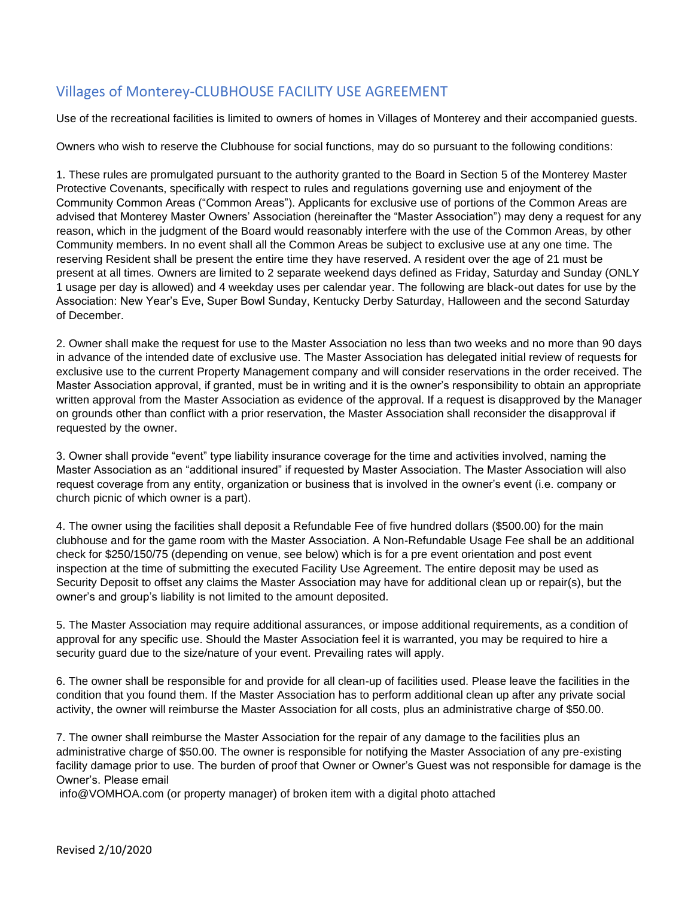# Villages of Monterey-CLUBHOUSE FACILITY USE AGREEMENT

Use of the recreational facilities is limited to owners of homes in Villages of Monterey and their accompanied guests.

Owners who wish to reserve the Clubhouse for social functions, may do so pursuant to the following conditions:

1. These rules are promulgated pursuant to the authority granted to the Board in Section 5 of the Monterey Master Protective Covenants, specifically with respect to rules and regulations governing use and enjoyment of the Community Common Areas ("Common Areas"). Applicants for exclusive use of portions of the Common Areas are advised that Monterey Master Owners' Association (hereinafter the "Master Association") may deny a request for any reason, which in the judgment of the Board would reasonably interfere with the use of the Common Areas, by other Community members. In no event shall all the Common Areas be subject to exclusive use at any one time. The reserving Resident shall be present the entire time they have reserved. A resident over the age of 21 must be present at all times. Owners are limited to 2 separate weekend days defined as Friday, Saturday and Sunday (ONLY 1 usage per day is allowed) and 4 weekday uses per calendar year. The following are black-out dates for use by the Association: New Year's Eve, Super Bowl Sunday, Kentucky Derby Saturday, Halloween and the second Saturday of December.

2. Owner shall make the request for use to the Master Association no less than two weeks and no more than 90 days in advance of the intended date of exclusive use. The Master Association has delegated initial review of requests for exclusive use to the current Property Management company and will consider reservations in the order received. The Master Association approval, if granted, must be in writing and it is the owner's responsibility to obtain an appropriate written approval from the Master Association as evidence of the approval. If a request is disapproved by the Manager on grounds other than conflict with a prior reservation, the Master Association shall reconsider the disapproval if requested by the owner.

3. Owner shall provide "event" type liability insurance coverage for the time and activities involved, naming the Master Association as an "additional insured" if requested by Master Association. The Master Association will also request coverage from any entity, organization or business that is involved in the owner's event (i.e. company or church picnic of which owner is a part).

4. The owner using the facilities shall deposit a Refundable Fee of five hundred dollars (\$500.00) for the main clubhouse and for the game room with the Master Association. A Non-Refundable Usage Fee shall be an additional check for \$250/150/75 (depending on venue, see below) which is for a pre event orientation and post event inspection at the time of submitting the executed Facility Use Agreement. The entire deposit may be used as Security Deposit to offset any claims the Master Association may have for additional clean up or repair(s), but the owner's and group's liability is not limited to the amount deposited.

5. The Master Association may require additional assurances, or impose additional requirements, as a condition of approval for any specific use. Should the Master Association feel it is warranted, you may be required to hire a security guard due to the size/nature of your event. Prevailing rates will apply.

6. The owner shall be responsible for and provide for all clean-up of facilities used. Please leave the facilities in the condition that you found them. If the Master Association has to perform additional clean up after any private social activity, the owner will reimburse the Master Association for all costs, plus an administrative charge of \$50.00.

7. The owner shall reimburse the Master Association for the repair of any damage to the facilities plus an administrative charge of \$50.00. The owner is responsible for notifying the Master Association of any pre-existing facility damage prior to use. The burden of proof that Owner or Owner's Guest was not responsible for damage is the Owner's. Please email

info@VOMHOA.com (or property manager) of broken item with a digital photo attached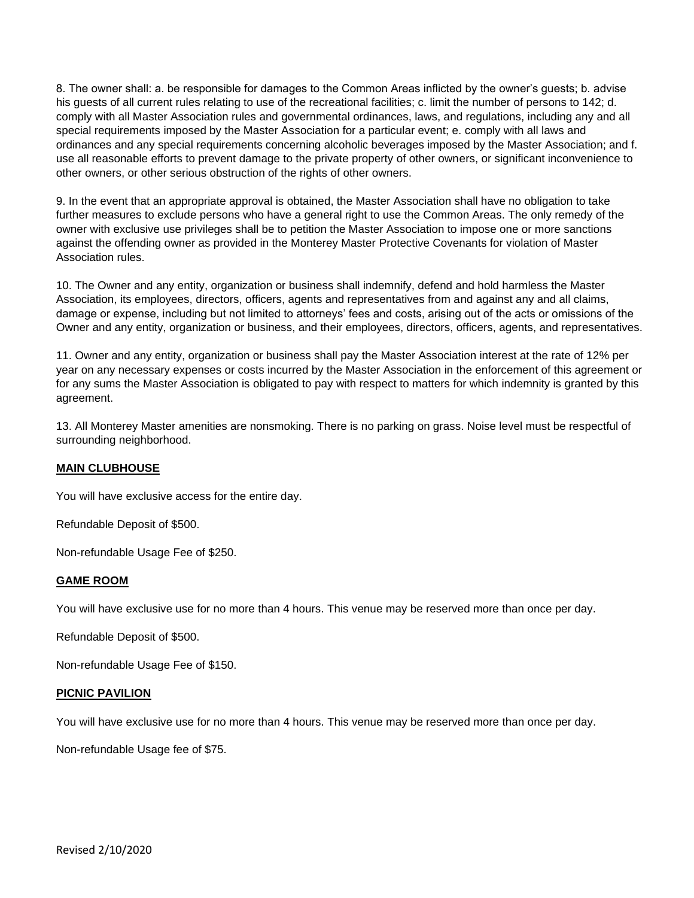8. The owner shall: a. be responsible for damages to the Common Areas inflicted by the owner's guests; b. advise his guests of all current rules relating to use of the recreational facilities; c. limit the number of persons to 142; d. comply with all Master Association rules and governmental ordinances, laws, and regulations, including any and all special requirements imposed by the Master Association for a particular event; e. comply with all laws and ordinances and any special requirements concerning alcoholic beverages imposed by the Master Association; and f. use all reasonable efforts to prevent damage to the private property of other owners, or significant inconvenience to other owners, or other serious obstruction of the rights of other owners.

9. In the event that an appropriate approval is obtained, the Master Association shall have no obligation to take further measures to exclude persons who have a general right to use the Common Areas. The only remedy of the owner with exclusive use privileges shall be to petition the Master Association to impose one or more sanctions against the offending owner as provided in the Monterey Master Protective Covenants for violation of Master Association rules.

10. The Owner and any entity, organization or business shall indemnify, defend and hold harmless the Master Association, its employees, directors, officers, agents and representatives from and against any and all claims, damage or expense, including but not limited to attorneys' fees and costs, arising out of the acts or omissions of the Owner and any entity, organization or business, and their employees, directors, officers, agents, and representatives.

11. Owner and any entity, organization or business shall pay the Master Association interest at the rate of 12% per year on any necessary expenses or costs incurred by the Master Association in the enforcement of this agreement or for any sums the Master Association is obligated to pay with respect to matters for which indemnity is granted by this agreement.

13. All Monterey Master amenities are nonsmoking. There is no parking on grass. Noise level must be respectful of surrounding neighborhood.

### **MAIN CLUBHOUSE**

You will have exclusive access for the entire day.

Refundable Deposit of \$500.

Non-refundable Usage Fee of \$250.

#### **GAME ROOM**

You will have exclusive use for no more than 4 hours. This venue may be reserved more than once per day.

Refundable Deposit of \$500.

Non-refundable Usage Fee of \$150.

#### **PICNIC PAVILION**

You will have exclusive use for no more than 4 hours. This venue may be reserved more than once per day.

Non-refundable Usage fee of \$75.